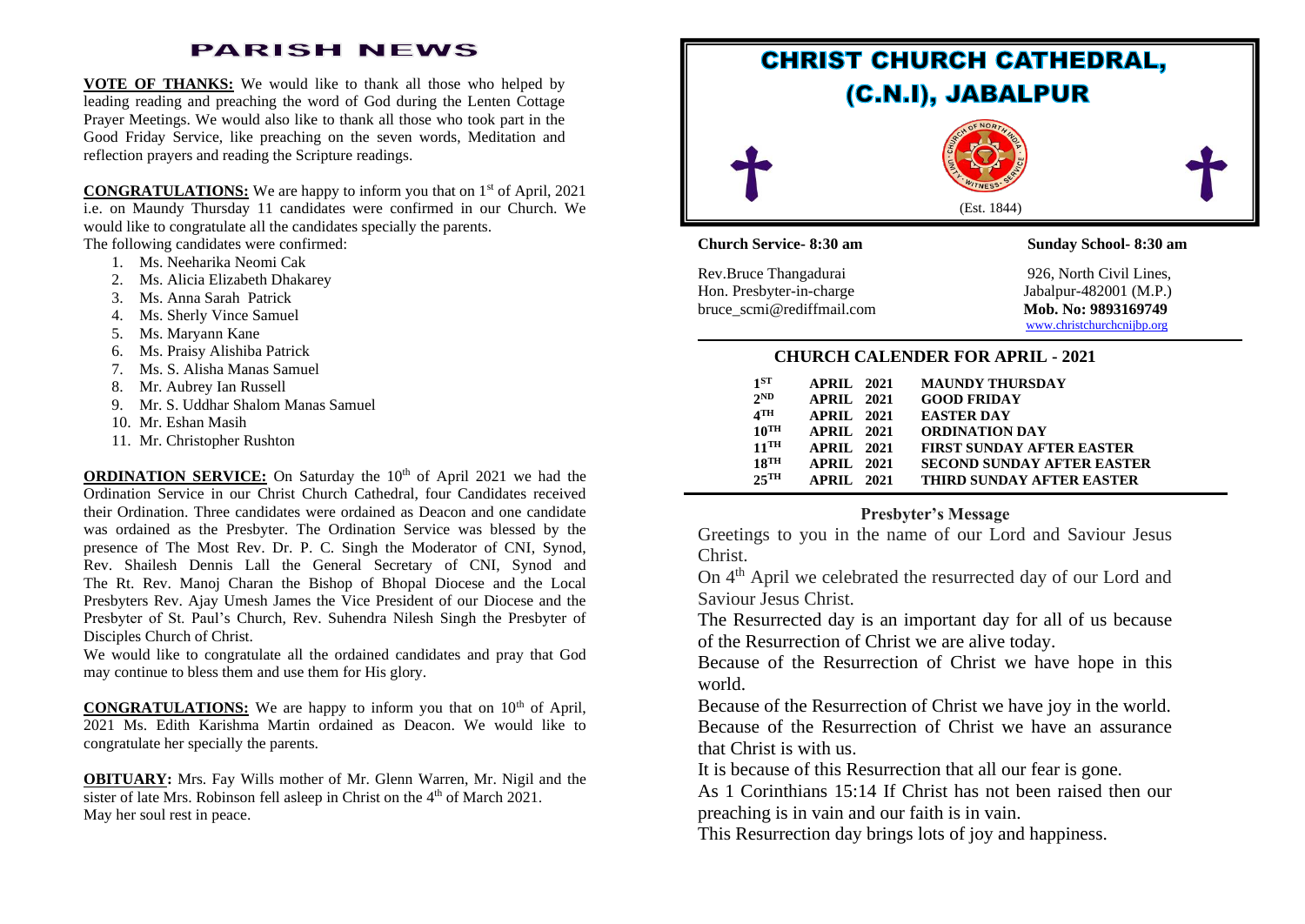# **PARISH NEWS**

**VOTE OF THANKS:** We would like to thank all those who helped by leading reading and preaching the word of God during the Lenten Cottage Prayer Meetings. We would also like to thank all those who took part in the Good Friday Service, like preaching on the seven words, Meditation and reflection prayers and reading the Scripture readings.

**CONGRATULATIONS:** We are happy to inform you that on 1<sup>st</sup> of April, 2021 i.e. on Maundy Thursday 11 candidates were confirmed in our Church. We would like to congratulate all the candidates specially the parents. The following candidates were confirmed:

- 1. Ms. Neeharika Neomi Cak
- 2. Ms. Alicia Elizabeth Dhakarey
- 3. Ms. Anna Sarah Patrick
- 4. Ms. Sherly Vince Samuel
- 5. Ms. Maryann Kane
- 6. Ms. Praisy Alishiba Patrick
- 7. Ms. S. Alisha Manas Samuel
- 8. Mr. Aubrey Ian Russell
- 9. Mr. S. Uddhar Shalom Manas Samuel
- 10. Mr. Eshan Masih
- 11. Mr. Christopher Rushton

**ORDINATION SERVICE:** On Saturday the 10<sup>th</sup> of April 2021 we had the Ordination Service in our Christ Church Cathedral, four Candidates received their Ordination. Three candidates were ordained as Deacon and one candidate was ordained as the Presbyter. The Ordination Service was blessed by the presence of The Most Rev. Dr. P. C. Singh the Moderator of CNI, Synod, Rev. Shailesh Dennis Lall the General Secretary of CNI, Synod and The Rt. Rev. Manoj Charan the Bishop of Bhopal Diocese and the Local Presbyters Rev. Ajay Umesh James the Vice President of our Diocese and the Presbyter of St. Paul's Church, Rev. Suhendra Nilesh Singh the Presbyter of Disciples Church of Christ.

We would like to congratulate all the ordained candidates and pray that God may continue to bless them and use them for His glory.

**CONGRATULATIONS:** We are happy to inform you that on  $10<sup>th</sup>$  of April, 2021 Ms. Edith Karishma Martin ordained as Deacon. We would like to congratulate her specially the parents.

**OBITUARY:** Mrs. Fay Wills mother of Mr. Glenn Warren, Mr. Nigil and the sister of late Mrs. Robinson fell asleep in Christ on the 4<sup>th</sup> of March 2021. May her soul rest in peace.



#### **CHURCH CALENDER FOR APRIL - 2021**

| $1^{ST}$           | <b>APRIL 2021</b> | <b>MAUNDY THURSDAY</b>            |
|--------------------|-------------------|-----------------------------------|
| $2^{ND}$           | <b>APRIL</b> 2021 | <b>GOOD FRIDAY</b>                |
| $4$ TH             | <b>APRIL</b> 2021 | <b>EASTER DAY</b>                 |
| $10^{TH}$          | <b>APRIL 2021</b> | <b>ORDINATION DAY</b>             |
| $11$ <sup>TH</sup> | <b>APRIL</b> 2021 | <b>FIRST SUNDAY AFTER EASTER</b>  |
| $18$ <sup>TH</sup> | <b>APRIL</b> 2021 | <b>SECOND SUNDAY AFTER EASTER</b> |
| $25$ TH            | <b>APRIL</b> 2021 | <b>THIRD SUNDAY AFTER EASTER</b>  |

#### **Presbyter's Message**

Greetings to you in the name of our Lord and Saviour Jesus Christ.

On 4th April we celebrated the resurrected day of our Lord and Saviour Jesus Christ.

The Resurrected day is an important day for all of us because of the Resurrection of Christ we are alive today.

Because of the Resurrection of Christ we have hope in this world.

Because of the Resurrection of Christ we have joy in the world. Because of the Resurrection of Christ we have an assurance that Christ is with us.

It is because of this Resurrection that all our fear is gone.

As 1 Corinthians 15:14 If Christ has not been raised then our preaching is in vain and our faith is in vain.

This Resurrection day brings lots of joy and happiness.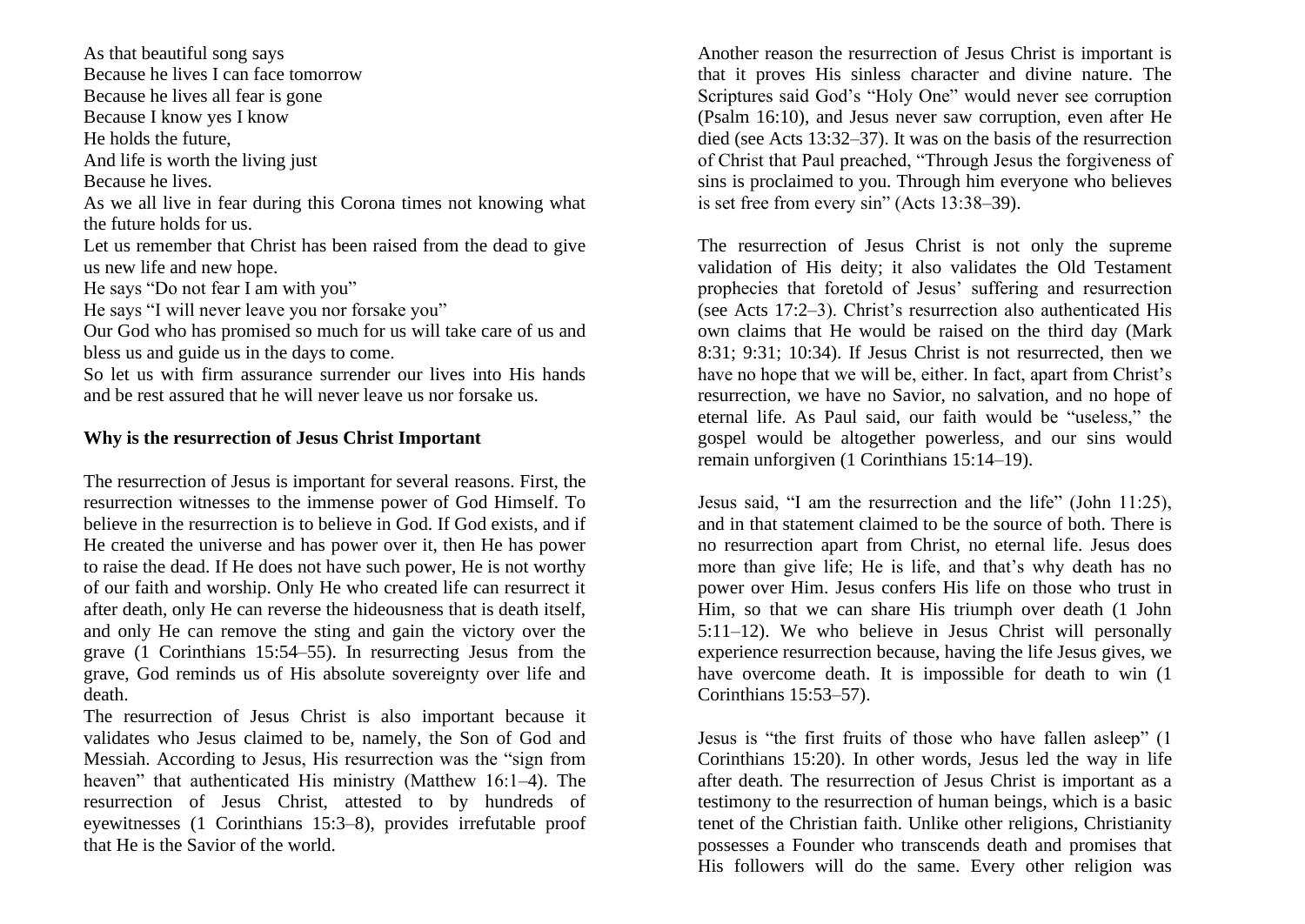As that beautiful song says Because he lives I can face tomorrow Because he lives all fear is gone Because I know yes I know He holds the future, And life is worth the living just Because he lives. As we all live in fear during this Corona times not knowing what the future holds for us. Let us remember that Christ has been raised from the dead to give us new life and new hope. He says "Do not fear I am with you" He says "I will never leave you nor forsake you" Our God who has promised so much for us will take care of us and bless us and guide us in the days to come.

So let us with firm assurance surrender our lives into His hands and be rest assured that he will never leave us nor forsake us.

### **Why is the resurrection of Jesus Christ Important**

The resurrection of Jesus is important for several reasons. First, the resurrection witnesses to the immense power of God Himself. To believe in the resurrection is to believe in God. If God exists, and if He created the universe and has power over it, then He has power to raise the dead. If He does not have such power, He is not worthy of our faith and worship. Only He who created life can resurrect it after death, only He can reverse the hideousness that is death itself, and only He can remove the sting and gain the victory over the grave (1 Corinthians 15:54–55). In resurrecting Jesus from the grave, God reminds us of His absolute sovereignty over life and death.

The resurrection of Jesus Christ is also important because it validates who Jesus claimed to be, namely, the Son of God and Messiah. According to Jesus, His resurrection was the "sign from heaven" that authenticated His ministry (Matthew 16:1–4). The resurrection of Jesus Christ, attested to by hundreds of eyewitnesses (1 Corinthians 15:3–8), provides irrefutable proof that He is the Savior of the world.

Another reason the resurrection of Jesus Christ is important is that it proves His sinless character and divine nature. The Scriptures said God's "Holy One" would never see corruption (Psalm 16:10), and Jesus never saw corruption, even after He died (see Acts 13:32–37). It was on the basis of the resurrection of Christ that Paul preached, "Through Jesus the forgiveness of sins is proclaimed to you. Through him everyone who believes is set free from every sin" (Acts 13:38–39).

The resurrection of Jesus Christ is not only the supreme validation of His deity; it also validates the Old Testament prophecies that foretold of Jesus' suffering and resurrection (see Acts 17:2–3). Christ's resurrection also authenticated His own claims that He would be raised on the third day (Mark 8:31; 9:31; 10:34). If Jesus Christ is not resurrected, then we have no hope that we will be, either. In fact, apart from Christ's resurrection, we have no Savior, no salvation, and no hope of eternal life. As Paul said, our faith would be "useless," the gospel would be altogether powerless, and our sins would remain unforgiven (1 Corinthians 15:14–19).

Jesus said, "I am the resurrection and the life" (John 11:25), and in that statement claimed to be the source of both. There is no resurrection apart from Christ, no eternal life. Jesus does more than give life; He is life, and that's why death has no power over Him. Jesus confers His life on those who trust in Him, so that we can share His triumph over death (1 John 5:11–12). We who believe in Jesus Christ will personally experience resurrection because, having the life Jesus gives, we have overcome death. It is impossible for death to win  $(1)$ Corinthians 15:53–57).

Jesus is "the first fruits of those who have fallen asleep" (1 Corinthians 15:20). In other words, Jesus led the way in life after death. The resurrection of Jesus Christ is important as a testimony to the resurrection of human beings, which is a basic tenet of the Christian faith. Unlike other religions, Christianity possesses a Founder who transcends death and promises that His followers will do the same. Every other religion was